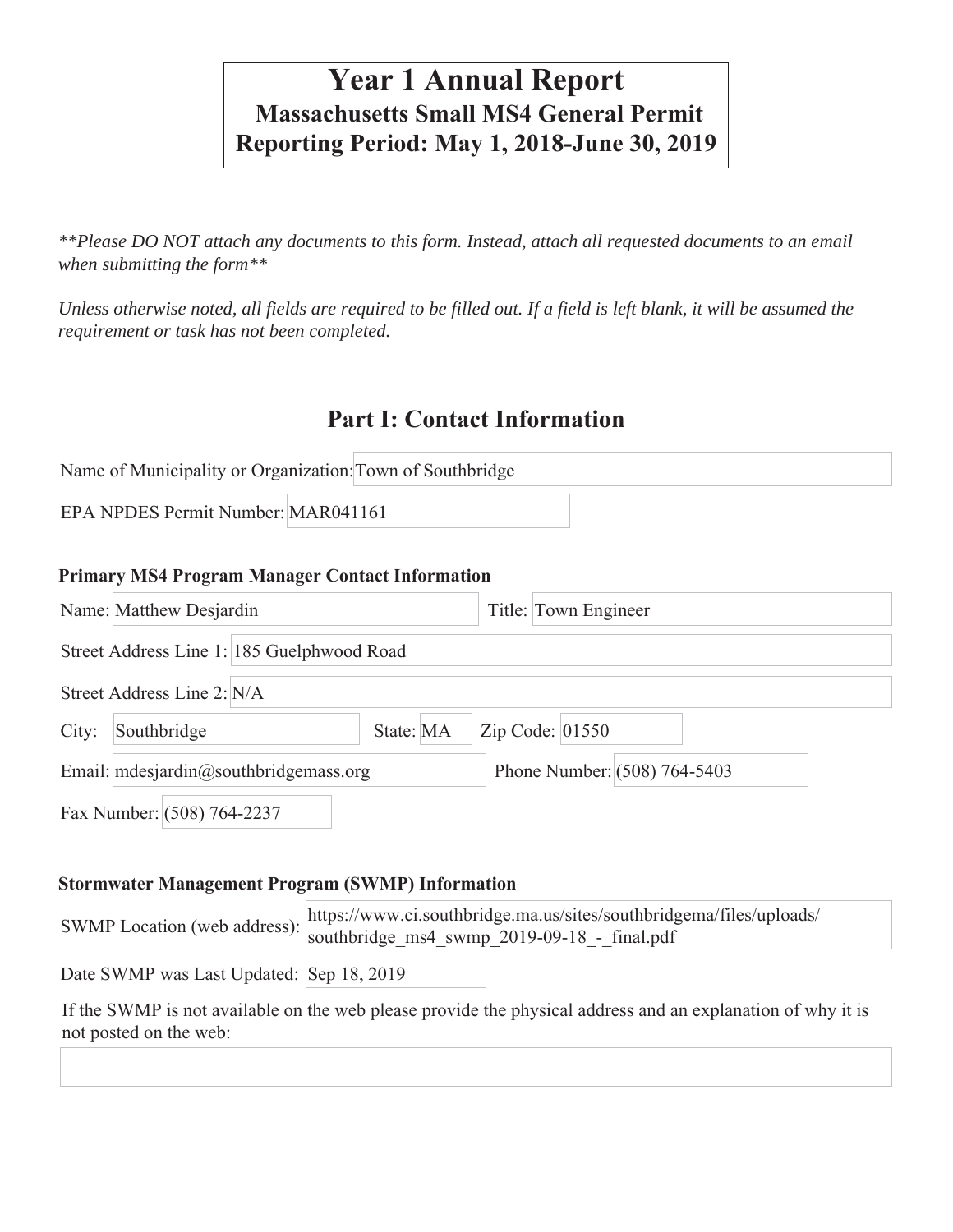# **Year 1 Annual Report Massachusetts Small MS4 General Permit Reporting Period: May 1, 2018-June 30, 2019**

*\*\*Please DO NOT attach any documents to this form. Instead, attach all requested documents to an email when submitting the form\*\** 

*Unless otherwise noted, all fields are required to be filled out. If a field is left blank, it will be assumed the requirement or task has not been completed.*

# **Part I: Contact Information**

|                                    | Name of Municipality or Organization: Town of Southbridge |  |
|------------------------------------|-----------------------------------------------------------|--|
| EPA NPDES Permit Number: MAR041161 |                                                           |  |

#### **Primary MS4 Program Manager Contact Information**

|       | Name: Matthew Desjardin                    | Title: Town Engineer         |  |
|-------|--------------------------------------------|------------------------------|--|
|       | Street Address Line 1: 185 Guelphwood Road |                              |  |
|       | Street Address Line 2: N/A                 |                              |  |
| City: | State: MA<br>Southbridge                   | Zip Code: 01550              |  |
|       | Email: mdesjardin@southbridgemass.org      | Phone Number: (508) 764-5403 |  |
|       | Fax Number: (508) 764-2237                 |                              |  |

#### **Stormwater Management Program (SWMP) Information**

| SWMP Location (web address): southbridge_ms4_swmp_2019-09-18_-_final.pdf | https://www.ci.southbridge.ma.us/sites/southbridgema/files/uploads/ |
|--------------------------------------------------------------------------|---------------------------------------------------------------------|
| Date SWMP was Last Updated: Sep 18, 2019                                 |                                                                     |

If the SWMP is not available on the web please provide the physical address and an explanation of why it is not posted on the web: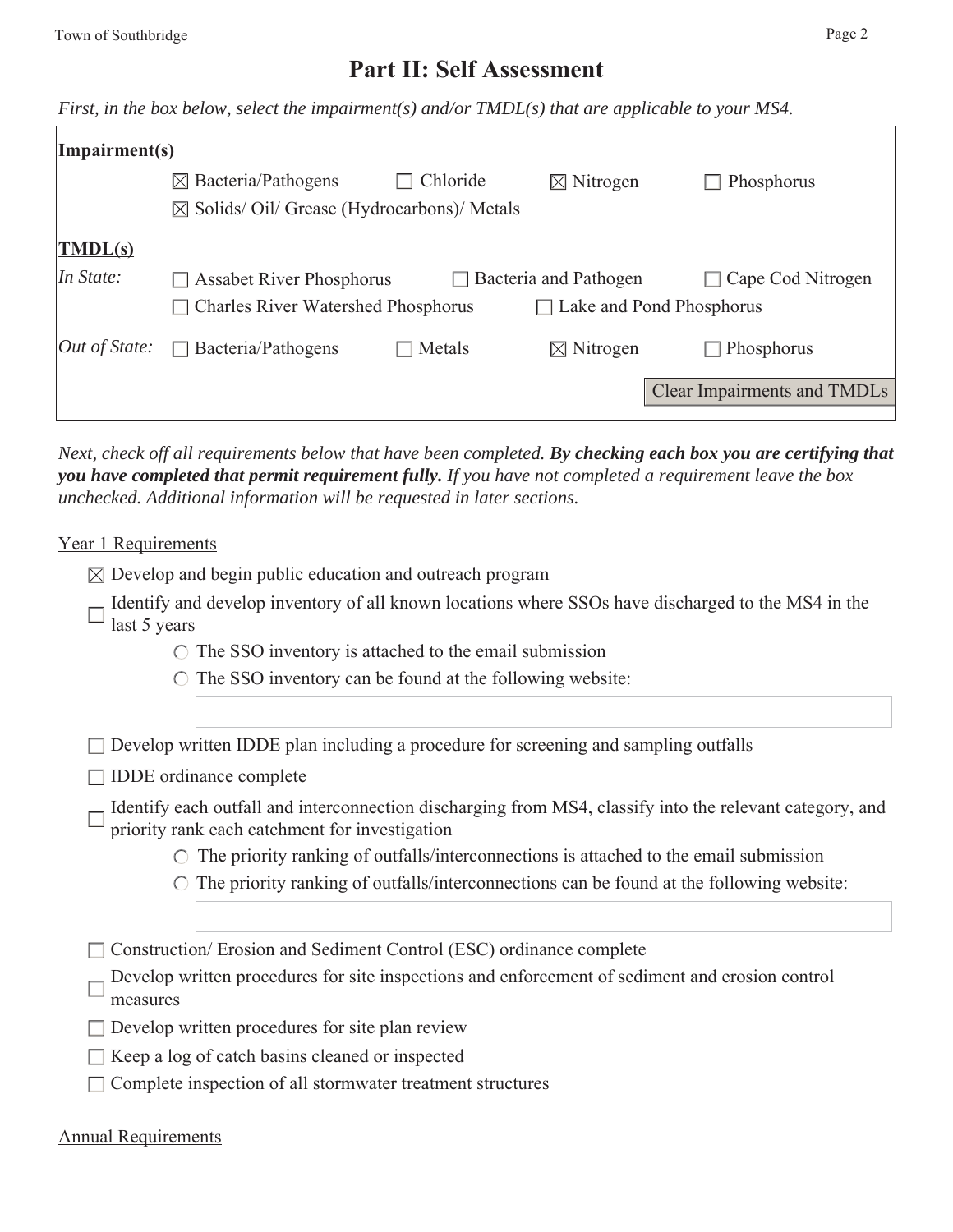# **Part II: Self Assessment**

*First, in the box below, select the impairment(s) and/or TMDL(s) that are applicable to your MS4.*

| Impairment(s)               |                                                     |          |                              |                                    |
|-----------------------------|-----------------------------------------------------|----------|------------------------------|------------------------------------|
|                             | $\boxtimes$ Bacteria/Pathogens                      | Chloride | $\boxtimes$ Nitrogen         | Phosphorus                         |
|                             | $\boxtimes$ Solids/Oil/Grease (Hydrocarbons)/Metals |          |                              |                                    |
| $\overline{\text{IMDL(s)}}$ |                                                     |          |                              |                                    |
| In State:                   | <b>Assabet River Phosphorus</b>                     |          | $\Box$ Bacteria and Pathogen | Cape Cod Nitrogen                  |
|                             | <b>Charles River Watershed Phosphorus</b>           |          | Lake and Pond Phosphorus     |                                    |
| Out of State:               | Bacteria/Pathogens<br>$\perp$                       | Metals   | $\boxtimes$ Nitrogen         | Phosphorus<br>$\blacksquare$       |
|                             |                                                     |          |                              | <b>Clear Impairments and TMDLs</b> |
|                             |                                                     |          |                              |                                    |

*Next, check off all requirements below that have been completed. By checking each box you are certifying that you have completed that permit requirement fully. If you have not completed a requirement leave the box unchecked. Additional information will be requested in later sections.* 

Year 1 Requirements

- $\boxtimes$  Develop and begin public education and outreach program
- Identify and develop inventory of all known locations where SSOs have discharged to the MS4 in the  $\Box$  last 5 years
	- $\circ$  The SSO inventory is attached to the email submission
	- $\circ$  The SSO inventory can be found at the following website:

 $\Box$  Develop written IDDE plan including a procedure for screening and sampling outfalls

- $\Box$  IDDE ordinance complete
- Identify each outfall and interconnection discharging from MS4, classify into the relevant category, and priority rank each catchment for investigation
	- $\circ$  The priority ranking of outfalls/interconnections is attached to the email submission
	- $\circ$  The priority ranking of outfalls/interconnections can be found at the following website:
- □ Construction/ Erosion and Sediment Control (ESC) ordinance complete
- Develop written procedures for site inspections and enforcement of sediment and erosion control measures
- $\square$  Develop written procedures for site plan review
- $\Box$  Keep a log of catch basins cleaned or inspected
- $\Box$  Complete inspection of all stormwater treatment structures

#### Annual Requirements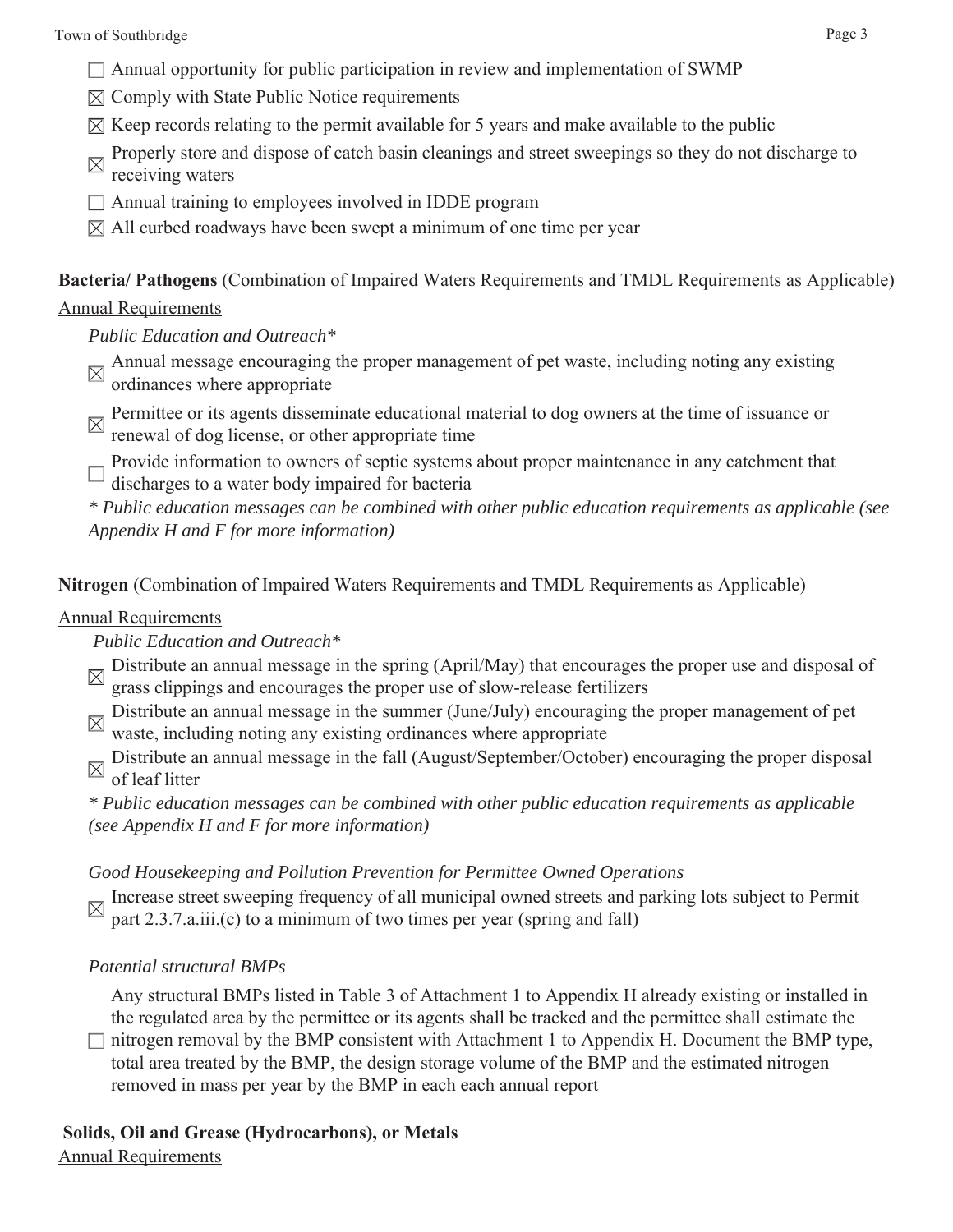- $\Box$  Annual opportunity for public participation in review and implementation of SWMP
- $\boxtimes$  Comply with State Public Notice requirements
- $\boxtimes$  Keep records relating to the permit available for 5 years and make available to the public
- Properly store and dispose of catch basin cleanings and street sweepings so they do not discharge to
- receiving waters Annual training to employees involved in IDDE program
- $\boxtimes$  All curbed roadways have been swept a minimum of one time per year

**Bacteria/ Pathogens** (Combination of Impaired Waters Requirements and TMDL Requirements as Applicable)

#### Annual Requirements

*Public Education and Outreach\**

- Annual message encouraging the proper management of pet waste, including noting any existing  $\alpha$ ordinances where appropriate
- Permittee or its agents disseminate educational material to dog owners at the time of issuance or renewal of dog license, or other appropriate time
- Provide information to owners of septic systems about proper maintenance in any catchment that discharges to a water body impaired for bacteria

*\* Public education messages can be combined with other public education requirements as applicable (see Appendix H and F for more information)*

**Nitrogen** (Combination of Impaired Waters Requirements and TMDL Requirements as Applicable)

#### Annual Requirements

#### *Public Education and Outreach\**

- Distribute an annual message in the spring (April/May) that encourages the proper use and disposal of M grass clippings and encourages the proper use of slow-release fertilizers
- Distribute an annual message in the summer (June/July) encouraging the proper management of pet waste, including noting any existing ordinances where appropriate
- Distribute an annual message in the fall (August/September/October) encouraging the proper disposal of lost little of leaf litter

*\* Public education messages can be combined with other public education requirements as applicable (see Appendix H and F for more information)*

#### *Good Housekeeping and Pollution Prevention for Permittee Owned Operations*

Increase street sweeping frequency of all municipal owned streets and parking lots subject to Permit part 2.3.7.a.iii.(c) to a minimum of two times per year (spring and fall)

## *Potential structural BMPs*

Any structural BMPs listed in Table 3 of Attachment 1 to Appendix H already existing or installed in the regulated area by the permittee or its agents shall be tracked and the permittee shall estimate the

 $\Box$  nitrogen removal by the BMP consistent with Attachment 1 to Appendix H. Document the BMP type, total area treated by the BMP, the design storage volume of the BMP and the estimated nitrogen removed in mass per year by the BMP in each each annual report

# **Solids, Oil and Grease (Hydrocarbons), or Metals**

Annual Requirements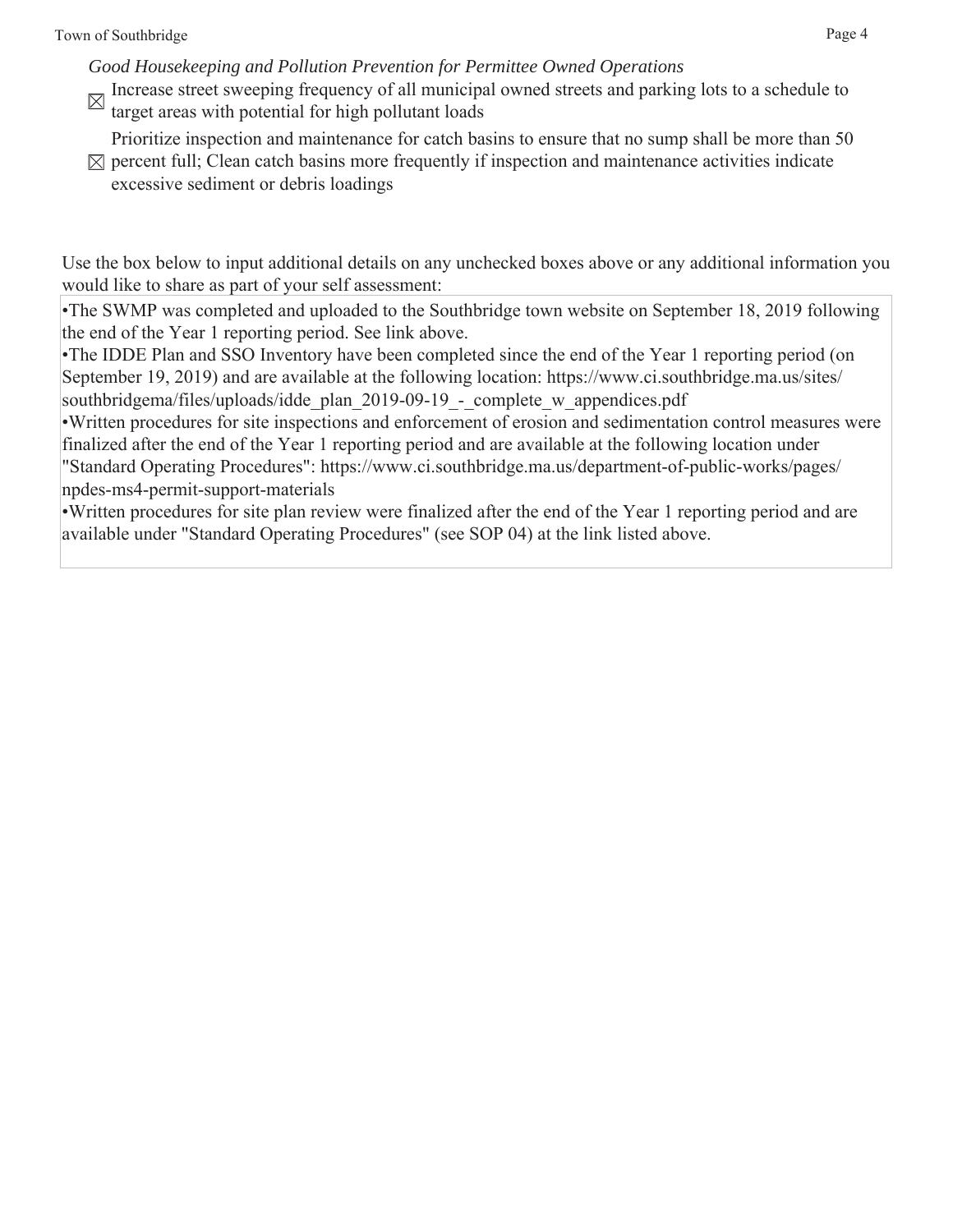*Good Housekeeping and Pollution Prevention for Permittee Owned Operations*

Increase street sweeping frequency of all municipal owned streets and parking lots to a schedule to target areas with potential for high pollutant loads

Prioritize inspection and maintenance for catch basins to ensure that no sump shall be more than 50

 $\boxtimes$  percent full; Clean catch basins more frequently if inspection and maintenance activities indicate excessive sediment or debris loadings

Use the box below to input additional details on any unchecked boxes above or any additional information you would like to share as part of your self assessment:

•The SWMP was completed and uploaded to the Southbridge town website on September 18, 2019 following the end of the Year 1 reporting period. See link above.

•The IDDE Plan and SSO Inventory have been completed since the end of the Year 1 reporting period (on September 19, 2019) and are available at the following location: https://www.ci.southbridge.ma.us/sites/ southbridgema/files/uploads/idde\_plan\_2019-09-19 - complete\_w\_appendices.pdf

•Written procedures for site inspections and enforcement of erosion and sedimentation control measures were finalized after the end of the Year 1 reporting period and are available at the following location under "Standard Operating Procedures": https://www.ci.southbridge.ma.us/department-of-public-works/pages/ npdes-ms4-permit-support-materials

•Written procedures for site plan review were finalized after the end of the Year 1 reporting period and are available under "Standard Operating Procedures" (see SOP 04) at the link listed above.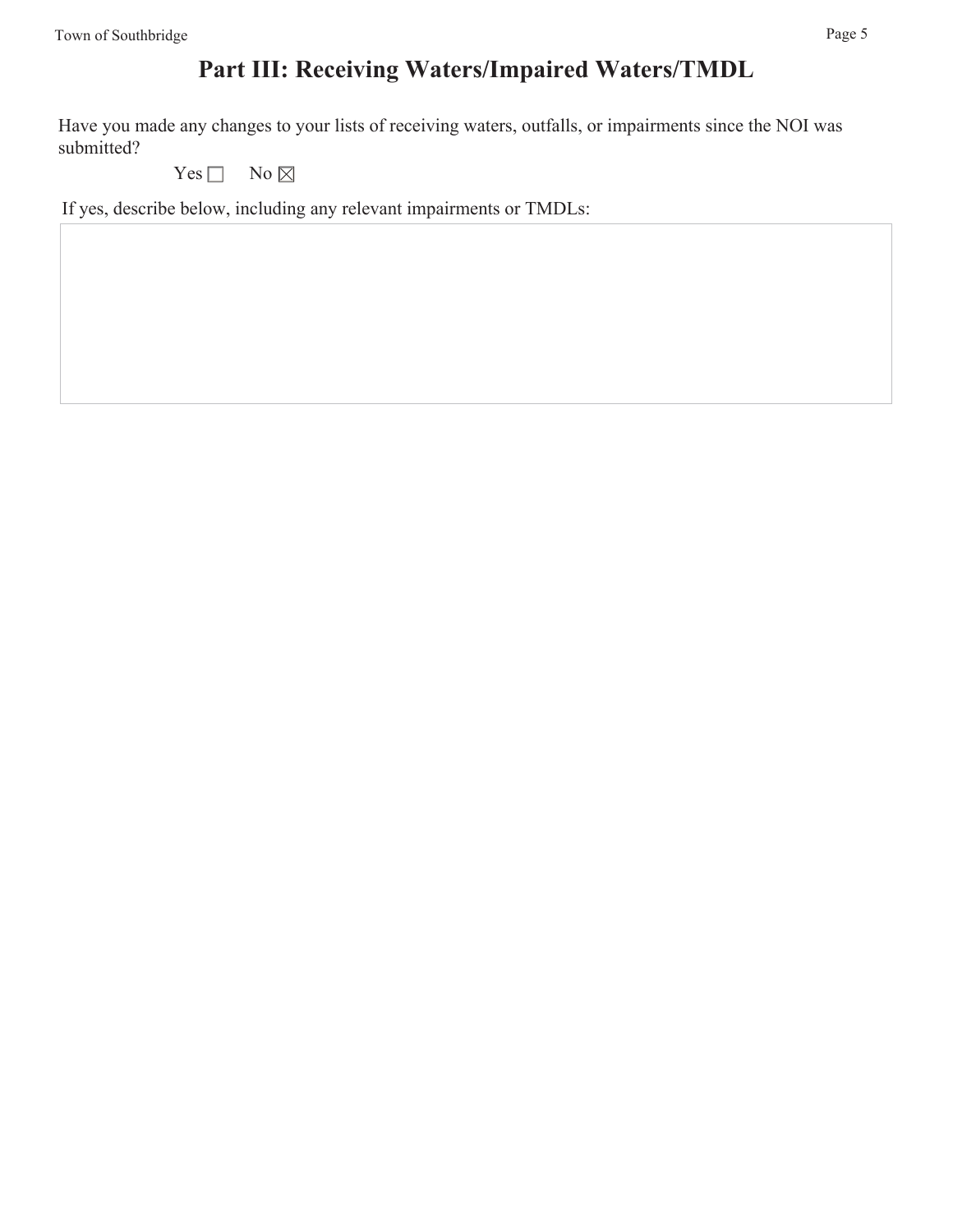# **Part III: Receiving Waters/Impaired Waters/TMDL**

Have you made any changes to your lists of receiving waters, outfalls, or impairments since the NOI was submitted?

Yes  $\Box$  No  $\boxtimes$ 

If yes, describe below, including any relevant impairments or TMDLs: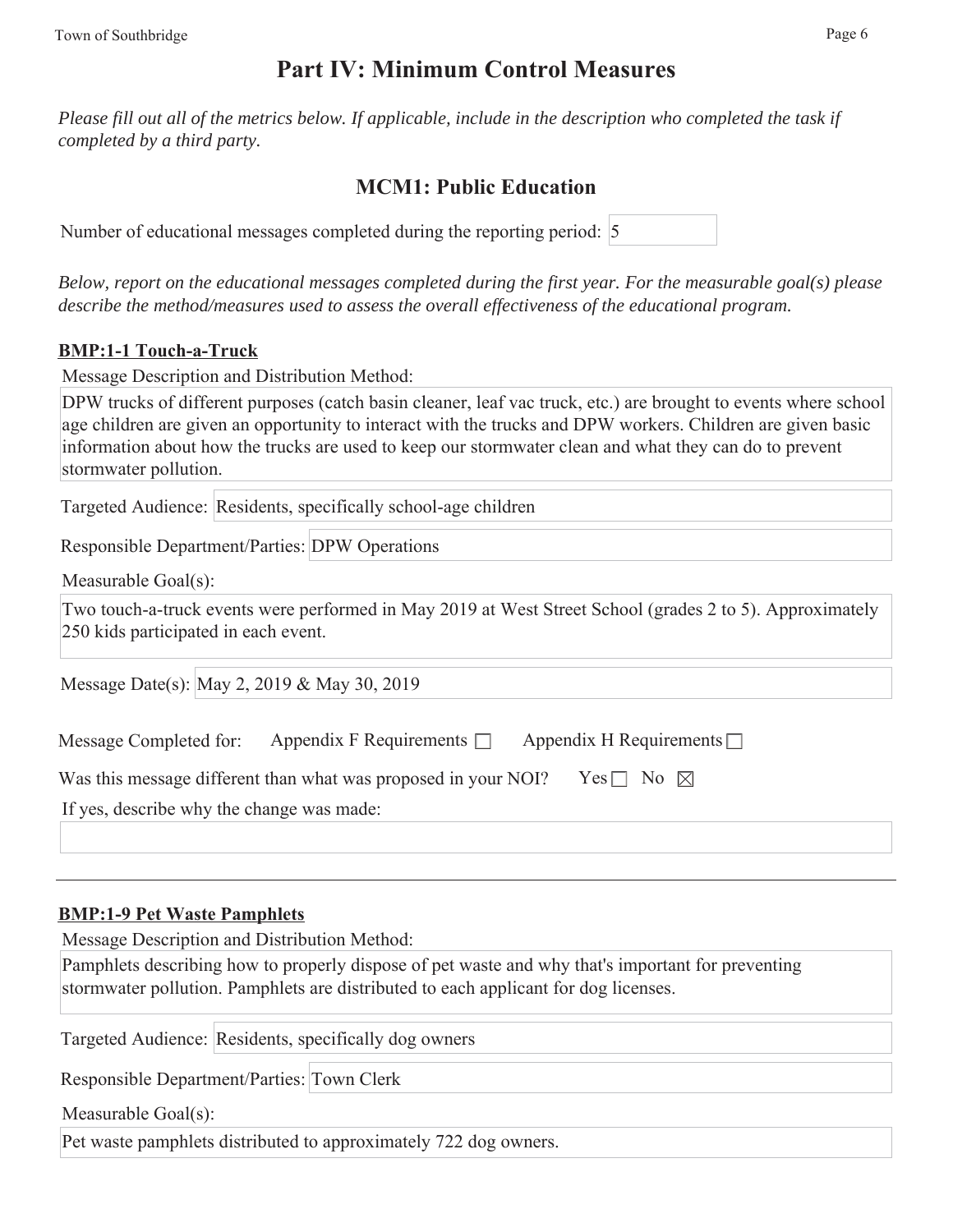# **Part IV: Minimum Control Measures**

*Please fill out all of the metrics below. If applicable, include in the description who completed the task if completed by a third party.* 

## **MCM1: Public Education**

| Number of educational messages completed during the reporting period: 5 |  |  |  |  |  |  |
|-------------------------------------------------------------------------|--|--|--|--|--|--|
|-------------------------------------------------------------------------|--|--|--|--|--|--|

*Below, report on the educational messages completed during the first year. For the measurable goal(s) please describe the method/measures used to assess the overall effectiveness of the educational program.*

### **BMP:1-1 Touch-a-Truck**

Message Description and Distribution Method:

DPW trucks of different purposes (catch basin cleaner, leaf vac truck, etc.) are brought to events where school age children are given an opportunity to interact with the trucks and DPW workers. Children are given basic information about how the trucks are used to keep our stormwater clean and what they can do to prevent stormwater pollution.

Targeted Audience: Residents, specifically school-age children

Responsible Department/Parties: DPW Operations

Measurable Goal(s):

Two touch-a-truck events were performed in May 2019 at West Street School (grades 2 to 5). Approximately 250 kids participated in each event.

Message Date(s): May 2, 2019 & May 30, 2019

| Message Completed for:                    | Appendix F Requirements $\Box$                                 | Appendix H Requirements $\Box$ |
|-------------------------------------------|----------------------------------------------------------------|--------------------------------|
|                                           | Was this message different than what was proposed in your NOI? | Yes $\Box$ No $\boxtimes$      |
| If yes, describe why the change was made: |                                                                |                                |
|                                           |                                                                |                                |

#### **BMP:1-9 Pet Waste Pamphlets**

Message Description and Distribution Method:

Pamphlets describing how to properly dispose of pet waste and why that's important for preventing stormwater pollution. Pamphlets are distributed to each applicant for dog licenses.

Targeted Audience: Residents, specifically dog owners

Responsible Department/Parties: Town Clerk

Measurable Goal(s):

Pet waste pamphlets distributed to approximately 722 dog owners.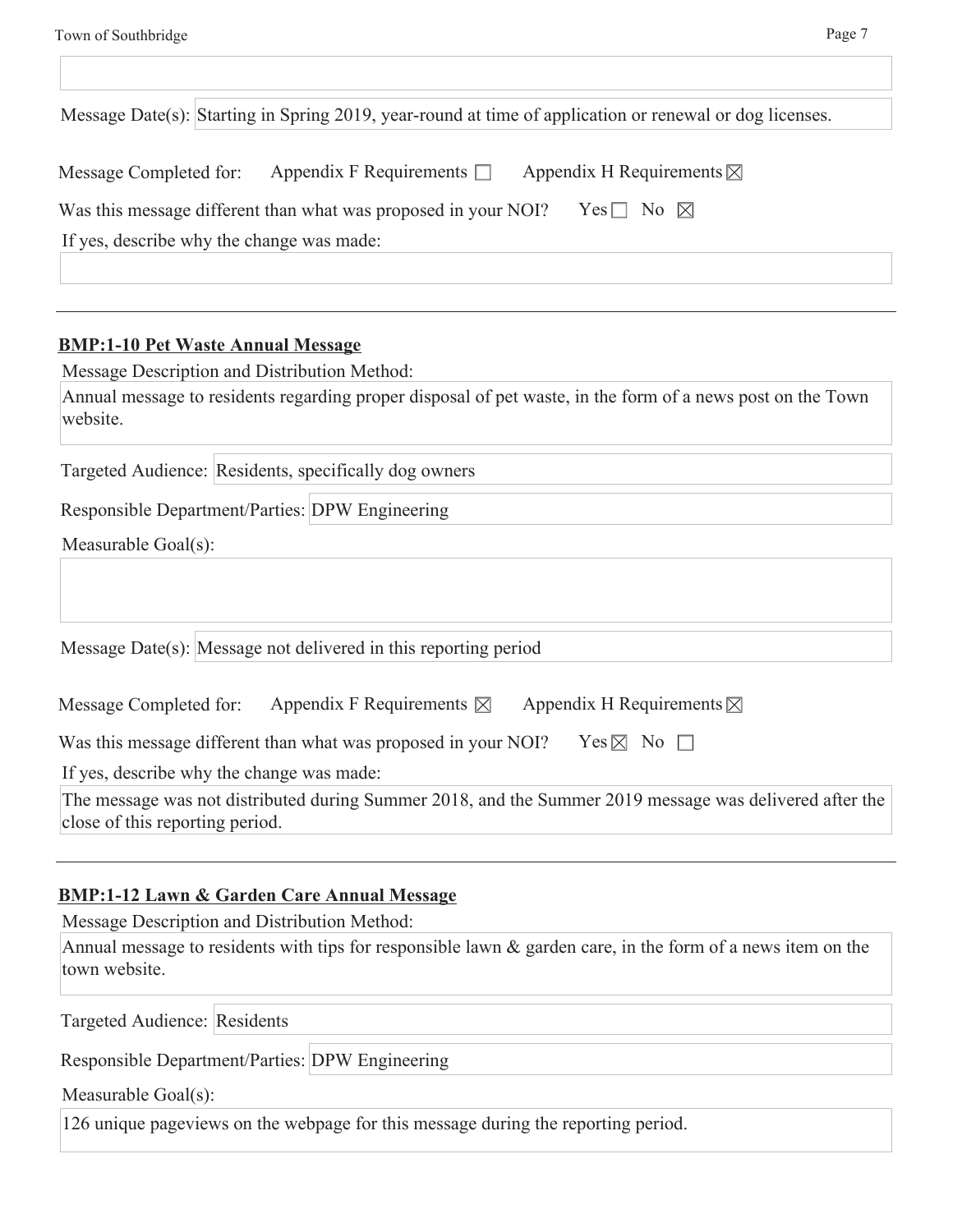|                                                                |                                                                    | Message Date(s): Starting in Spring 2019, year-round at time of application or renewal or dog licenses. |
|----------------------------------------------------------------|--------------------------------------------------------------------|---------------------------------------------------------------------------------------------------------|
| Message Completed for:                                         | Appendix F Requirements $\Box$ Appendix H Requirements $\boxtimes$ |                                                                                                         |
| Was this message different than what was proposed in your NOI? |                                                                    | Yes $\Box$ No $\boxtimes$                                                                               |
| If yes, describe why the change was made:                      |                                                                    |                                                                                                         |

#### **BMP:1-10 Pet Waste Annual Message**

Message Description and Distribution Method:

Annual message to residents regarding proper disposal of pet waste, in the form of a news post on the Town website.

Targeted Audience: Residents, specifically dog owners

Responsible Department/Parties: DPW Engineering

Measurable Goal(s):

Message Date(s): Message not delivered in this reporting period

| Message Completed for: | Appendix F Requirements $\boxtimes$ | Appendix H Requirements $\boxtimes$ |
|------------------------|-------------------------------------|-------------------------------------|
|------------------------|-------------------------------------|-------------------------------------|

Was this message different than what was proposed in your NOI? Yes  $\boxtimes$  No  $\square$ 

If yes, describe why the change was made:

The message was not distributed during Summer 2018, and the Summer 2019 message was delivered after the close of this reporting period.

#### **BMP:1-12 Lawn & Garden Care Annual Message**

Message Description and Distribution Method:

Annual message to residents with tips for responsible lawn & garden care, in the form of a news item on the town website.

Targeted Audience: Residents

Responsible Department/Parties: DPW Engineering

Measurable Goal(s):

126 unique pageviews on the webpage for this message during the reporting period.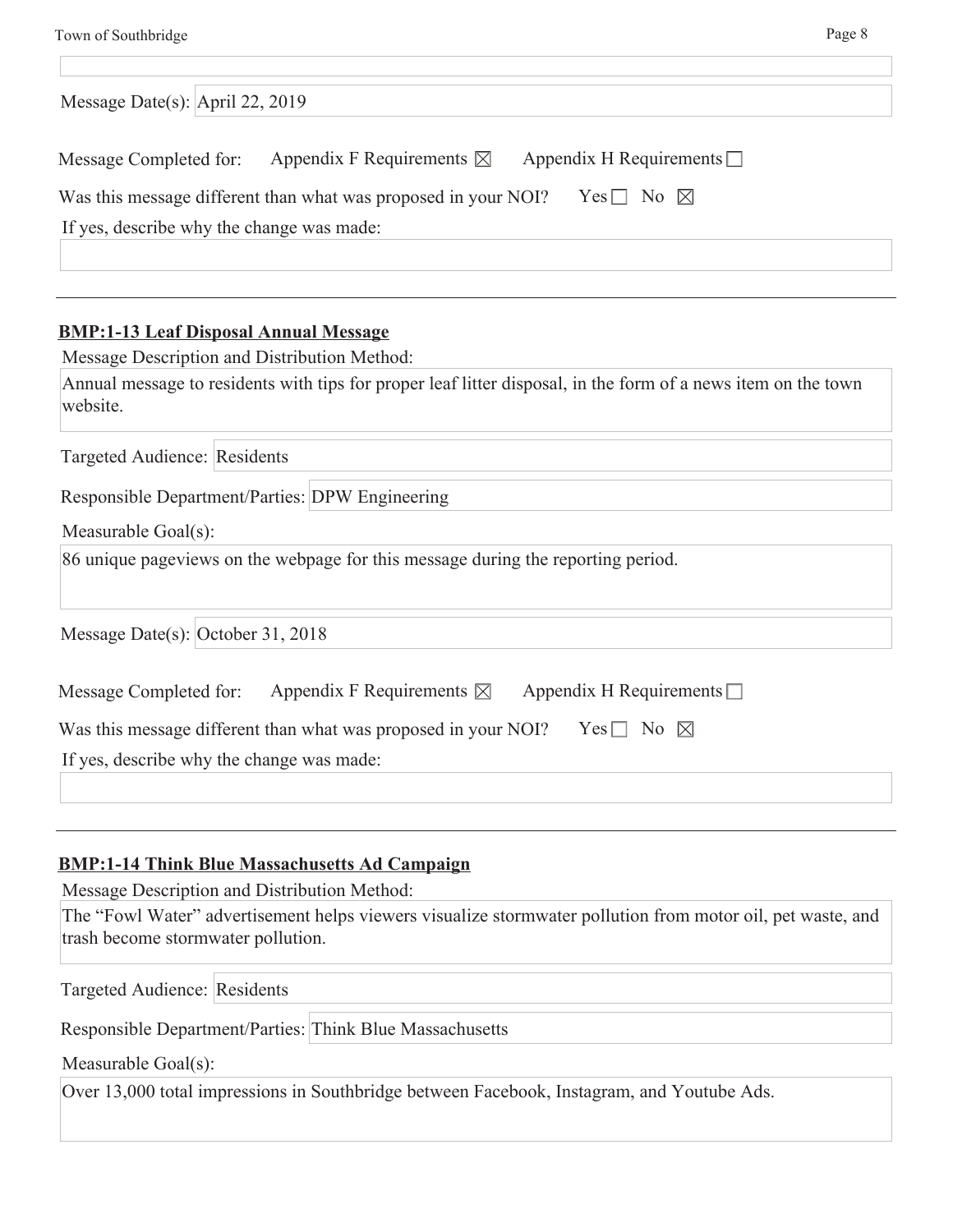| Message Date(s): April 22, 2019                                                                 |  |
|-------------------------------------------------------------------------------------------------|--|
| Appendix F Requirements $\boxtimes$<br>Appendix H Requirements $\Box$<br>Message Completed for: |  |
| Was this message different than what was proposed in your NOI?<br>Yes $\Box$ No $\boxtimes$     |  |
| If yes, describe why the change was made:                                                       |  |
|                                                                                                 |  |
|                                                                                                 |  |

## **BMP:1-13 Leaf Disposal Annual Message**

Message Description and Distribution Method:

| Annual message to residents with tips for proper leaf litter disposal, in the form of a news item on the town |  |
|---------------------------------------------------------------------------------------------------------------|--|
| website.                                                                                                      |  |

Targeted Audience: Residents

Responsible Department/Parties: DPW Engineering

Measurable Goal(s):

86 unique pageviews on the webpage for this message during the reporting period.

Message Date(s): October 31, 2018

| Message Completed for:                    | Appendix F Requirements $\boxtimes$                            | Appendix H Requirements $\Box$ |  |
|-------------------------------------------|----------------------------------------------------------------|--------------------------------|--|
|                                           | Was this message different than what was proposed in your NOI? | Yes $\Box$ No $\boxtimes$      |  |
| If yes, describe why the change was made: |                                                                |                                |  |
|                                           |                                                                |                                |  |

## **BMP:1-14 Think Blue Massachusetts Ad Campaign**

Message Description and Distribution Method:

The "Fowl Water" advertisement helps viewers visualize stormwater pollution from motor oil, pet waste, and trash become stormwater pollution.

Targeted Audience: Residents

Responsible Department/Parties: Think Blue Massachusetts

Measurable Goal(s):

Over 13,000 total impressions in Southbridge between Facebook, Instagram, and Youtube Ads.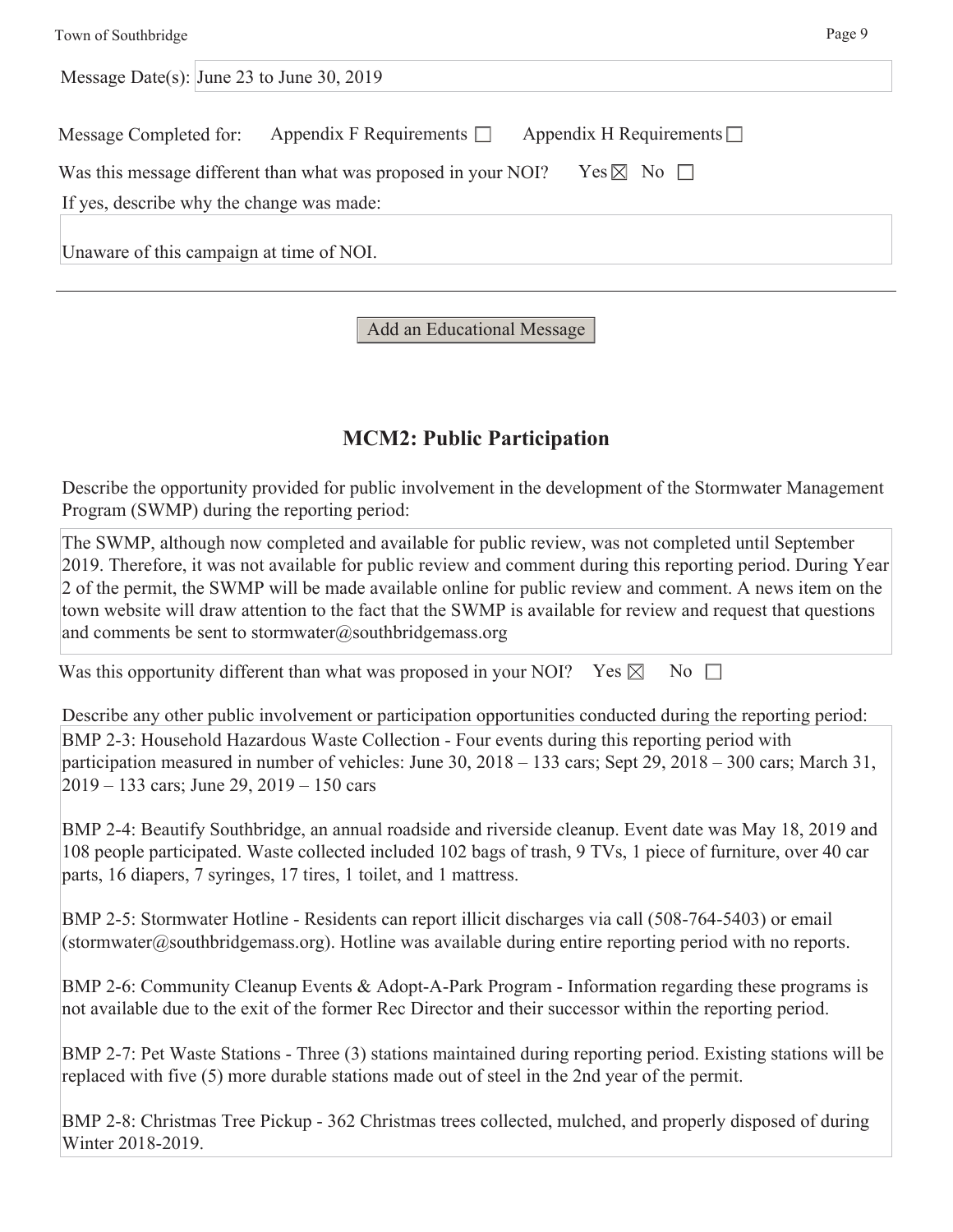| Town of Southbridge                                                                         | Page 9 |
|---------------------------------------------------------------------------------------------|--------|
| Message Date(s): June 23 to June 30, 2019                                                   |        |
| Appendix H Requirements $\Box$<br>Appendix F Requirements $\Box$<br>Message Completed for:  |        |
| Yes $\boxtimes$ No $\Box$<br>Was this message different than what was proposed in your NOI? |        |
| If yes, describe why the change was made:                                                   |        |
| Unaware of this campaign at time of NOI.                                                    |        |

### Add an Educational Message

## **MCM2: Public Participation**

Describe the opportunity provided for public involvement in the development of the Stormwater Management Program (SWMP) during the reporting period:

The SWMP, although now completed and available for public review, was not completed until September 2019. Therefore, it was not available for public review and comment during this reporting period. During Year 2 of the permit, the SWMP will be made available online for public review and comment. A news item on the town website will draw attention to the fact that the SWMP is available for review and request that questions and comments be sent to stormwater@southbridgemass.org

Was this opportunity different than what was proposed in your NOI? Yes  $\boxtimes$  No  $\Box$ 

Describe any other public involvement or participation opportunities conducted during the reporting period: BMP 2-3: Household Hazardous Waste Collection - Four events during this reporting period with participation measured in number of vehicles: June 30, 2018 – 133 cars; Sept 29, 2018 – 300 cars; March 31, 2019 – 133 cars; June 29, 2019 – 150 cars

BMP 2-4: Beautify Southbridge, an annual roadside and riverside cleanup. Event date was May 18, 2019 and 108 people participated. Waste collected included 102 bags of trash, 9 TVs, 1 piece of furniture, over 40 car parts, 16 diapers, 7 syringes, 17 tires, 1 toilet, and 1 mattress.

BMP 2-5: Stormwater Hotline - Residents can report illicit discharges via call (508-764-5403) or email (stormwater@southbridgemass.org). Hotline was available during entire reporting period with no reports.

BMP 2-6: Community Cleanup Events & Adopt-A-Park Program - Information regarding these programs is not available due to the exit of the former Rec Director and their successor within the reporting period.

BMP 2-7: Pet Waste Stations - Three (3) stations maintained during reporting period. Existing stations will be replaced with five (5) more durable stations made out of steel in the 2nd year of the permit.

BMP 2-8: Christmas Tree Pickup - 362 Christmas trees collected, mulched, and properly disposed of during Winter 2018-2019.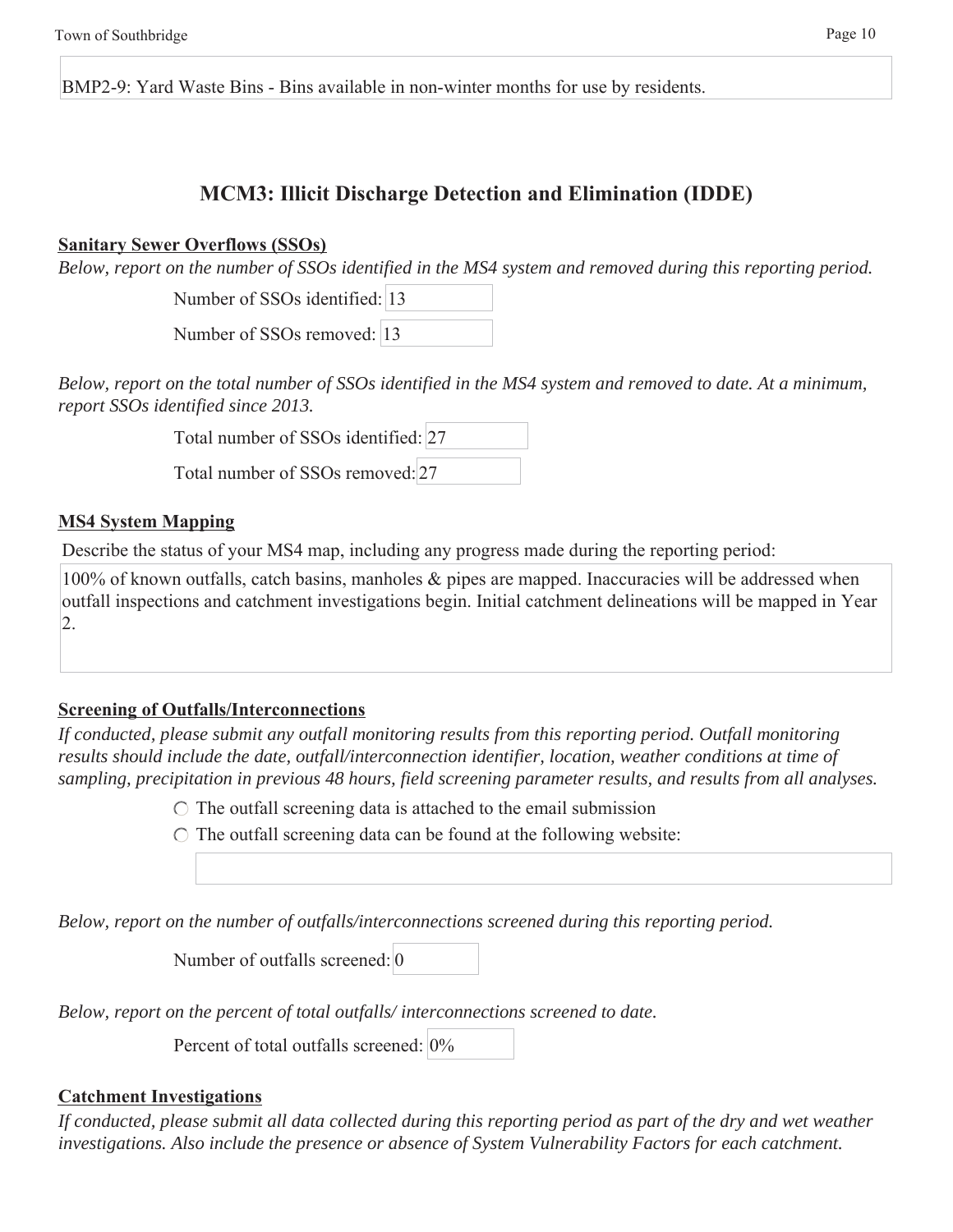BMP2-9: Yard Waste Bins - Bins available in non-winter months for use by residents.

## **MCM3: Illicit Discharge Detection and Elimination (IDDE)**

#### **Sanitary Sewer Overflows (SSOs)**

*Below, report on the number of SSOs identified in the MS4 system and removed during this reporting period.*

Number of SSOs identified: 13

Number of SSOs removed: 13

*Below, report on the total number of SSOs identified in the MS4 system and removed to date. At a minimum, report SSOs identified since 2013.*

Total number of SSOs identified: 27

Total number of SSOs removed: 27

### **MS4 System Mapping**

Describe the status of your MS4 map, including any progress made during the reporting period:

100% of known outfalls, catch basins, manholes & pipes are mapped. Inaccuracies will be addressed when outfall inspections and catchment investigations begin. Initial catchment delineations will be mapped in Year 2.

## **Screening of Outfalls/Interconnections**

*If conducted, please submit any outfall monitoring results from this reporting period. Outfall monitoring results should include the date, outfall/interconnection identifier, location, weather conditions at time of sampling, precipitation in previous 48 hours, field screening parameter results, and results from all analyses.*

 $\circ$  The outfall screening data is attached to the email submission

 $\bigcirc$  The outfall screening data can be found at the following website:

*Below, report on the number of outfalls/interconnections screened during this reporting period.*

Number of outfalls screened: 0

*Below, report on the percent of total outfalls/ interconnections screened to date.*

Percent of total outfalls screened: 0%

## **Catchment Investigations**

*If conducted, please submit all data collected during this reporting period as part of the dry and wet weather investigations. Also include the presence or absence of System Vulnerability Factors for each catchment.*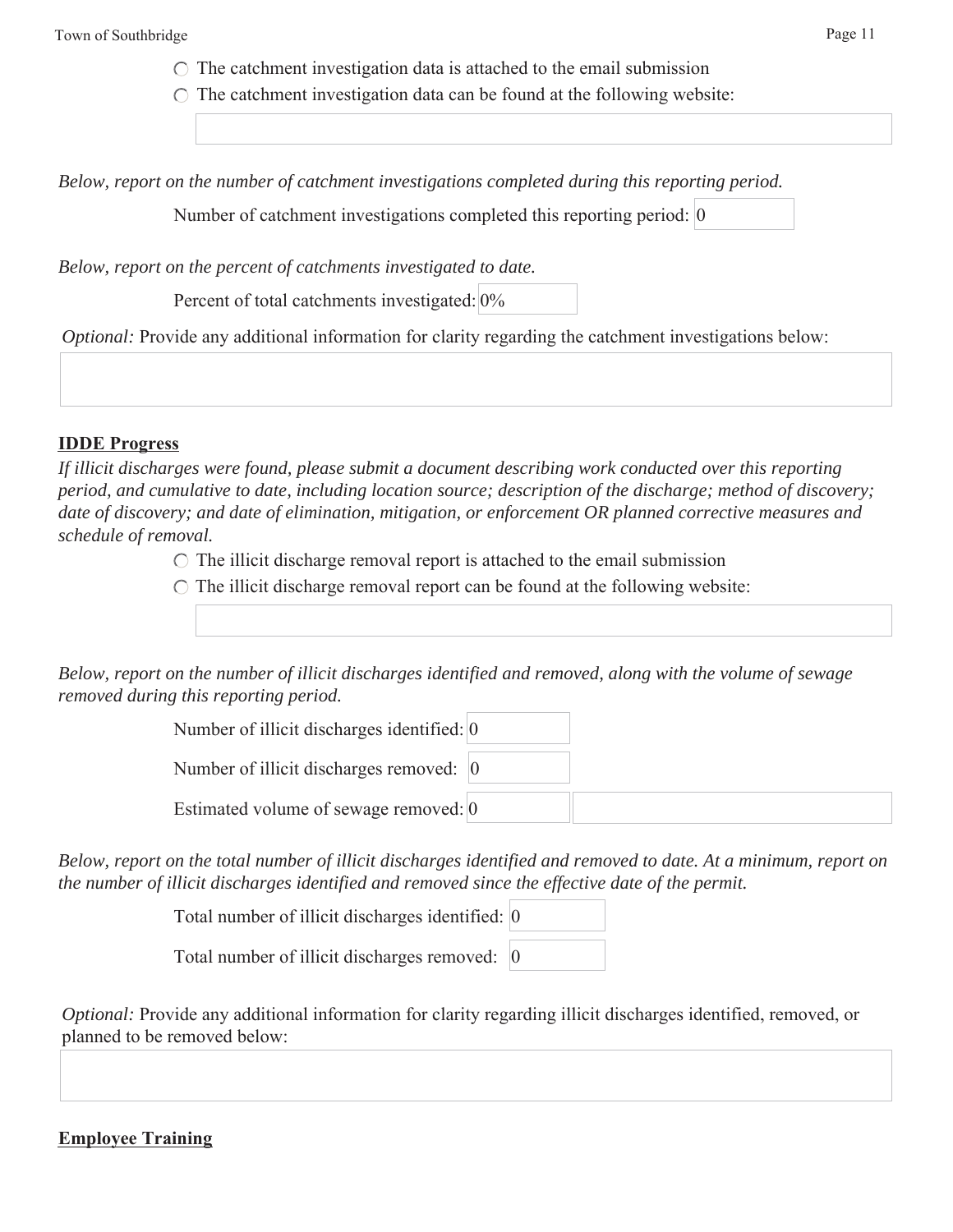Town of Southbridge Page 11

 $\circ$  The catchment investigation data is attached to the email submission

 $\circ$  The catchment investigation data can be found at the following website:

*Below, report on the number of catchment investigations completed during this reporting period.*

Number of catchment investigations completed this reporting period: 0

*Below, report on the percent of catchments investigated to date.*

Percent of total catchments investigated: 0%

*Optional:* Provide any additional information for clarity regarding the catchment investigations below:

#### **IDDE Progress**

*If illicit discharges were found, please submit a document describing work conducted over this reporting period, and cumulative to date, including location source; description of the discharge; method of discovery; date of discovery; and date of elimination, mitigation, or enforcement OR planned corrective measures and schedule of removal.*

 $\circ$  The illicit discharge removal report is attached to the email submission

 $\circ$  The illicit discharge removal report can be found at the following website:

*Below, report on the number of illicit discharges identified and removed, along with the volume of sewage removed during this reporting period.*

| Number of illicit discharges identified: 0        |  |
|---------------------------------------------------|--|
| Number of illicit discharges removed: $ 0\rangle$ |  |
| Estimated volume of sewage removed: 0             |  |

*Below, report on the total number of illicit discharges identified and removed to date. At a minimum, report on the number of illicit discharges identified and removed since the effective date of the permit.*

Total number of illicit discharges identified: 0

Total number of illicit discharges removed: 0

*Optional:* Provide any additional information for clarity regarding illicit discharges identified, removed, or planned to be removed below:

## **Employee Training**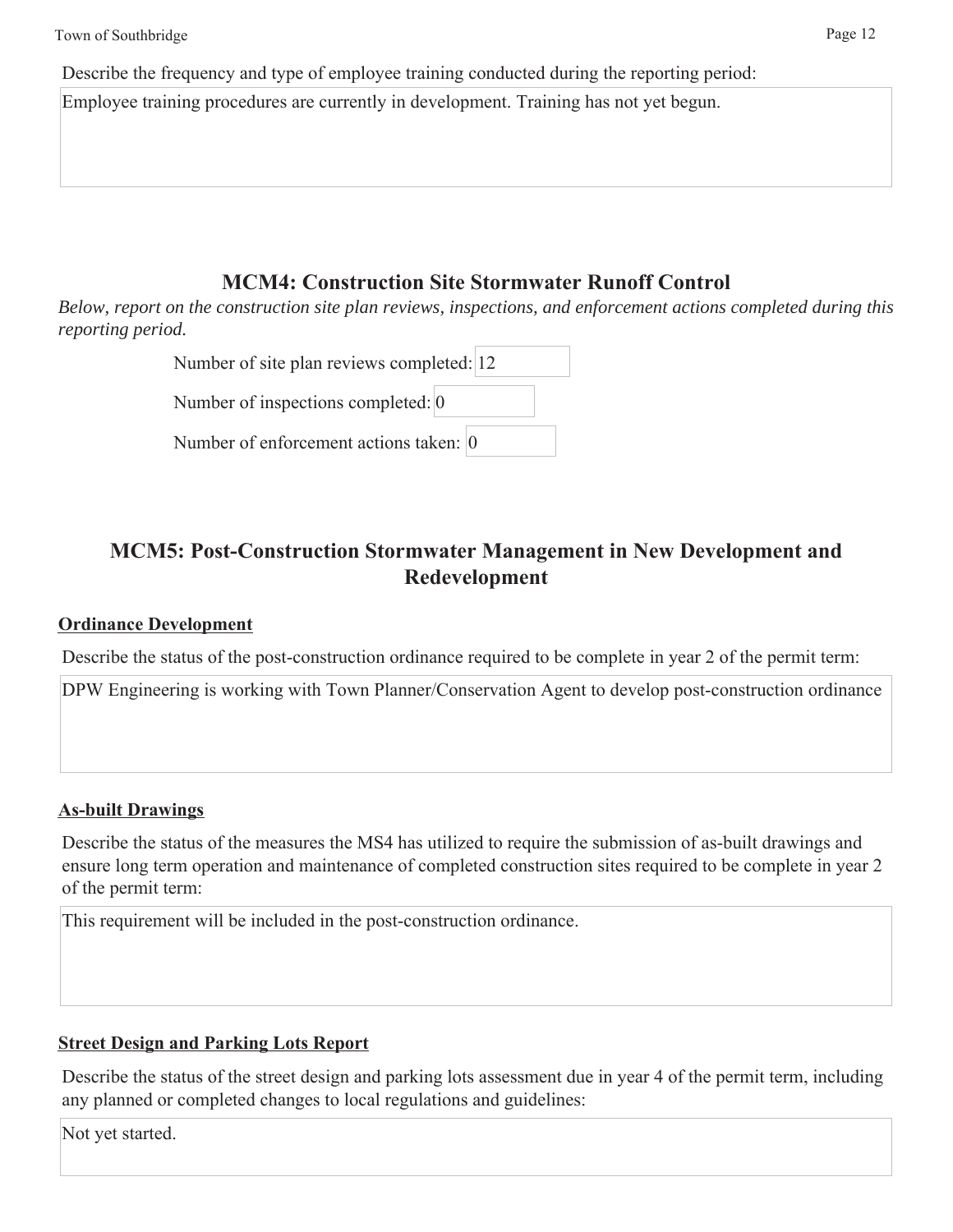Describe the frequency and type of employee training conducted during the reporting period:

Employee training procedures are currently in development. Training has not yet begun.

## **MCM4: Construction Site Stormwater Runoff Control**

*Below, report on the construction site plan reviews, inspections, and enforcement actions completed during this reporting period.*

| Number of site plan reviews completed: 12 |  |
|-------------------------------------------|--|
| Number of inspections completed: 0        |  |
| Number of enforcement actions taken: 0    |  |

## **MCM5: Post-Construction Stormwater Management in New Development and Redevelopment**

## **Ordinance Development**

Describe the status of the post-construction ordinance required to be complete in year 2 of the permit term:

DPW Engineering is working with Town Planner/Conservation Agent to develop post-construction ordinance

## **As-built Drawings**

Describe the status of the measures the MS4 has utilized to require the submission of as-built drawings and ensure long term operation and maintenance of completed construction sites required to be complete in year 2 of the permit term:

This requirement will be included in the post-construction ordinance.

## **Street Design and Parking Lots Report**

Describe the status of the street design and parking lots assessment due in year 4 of the permit term, including any planned or completed changes to local regulations and guidelines:

Not yet started.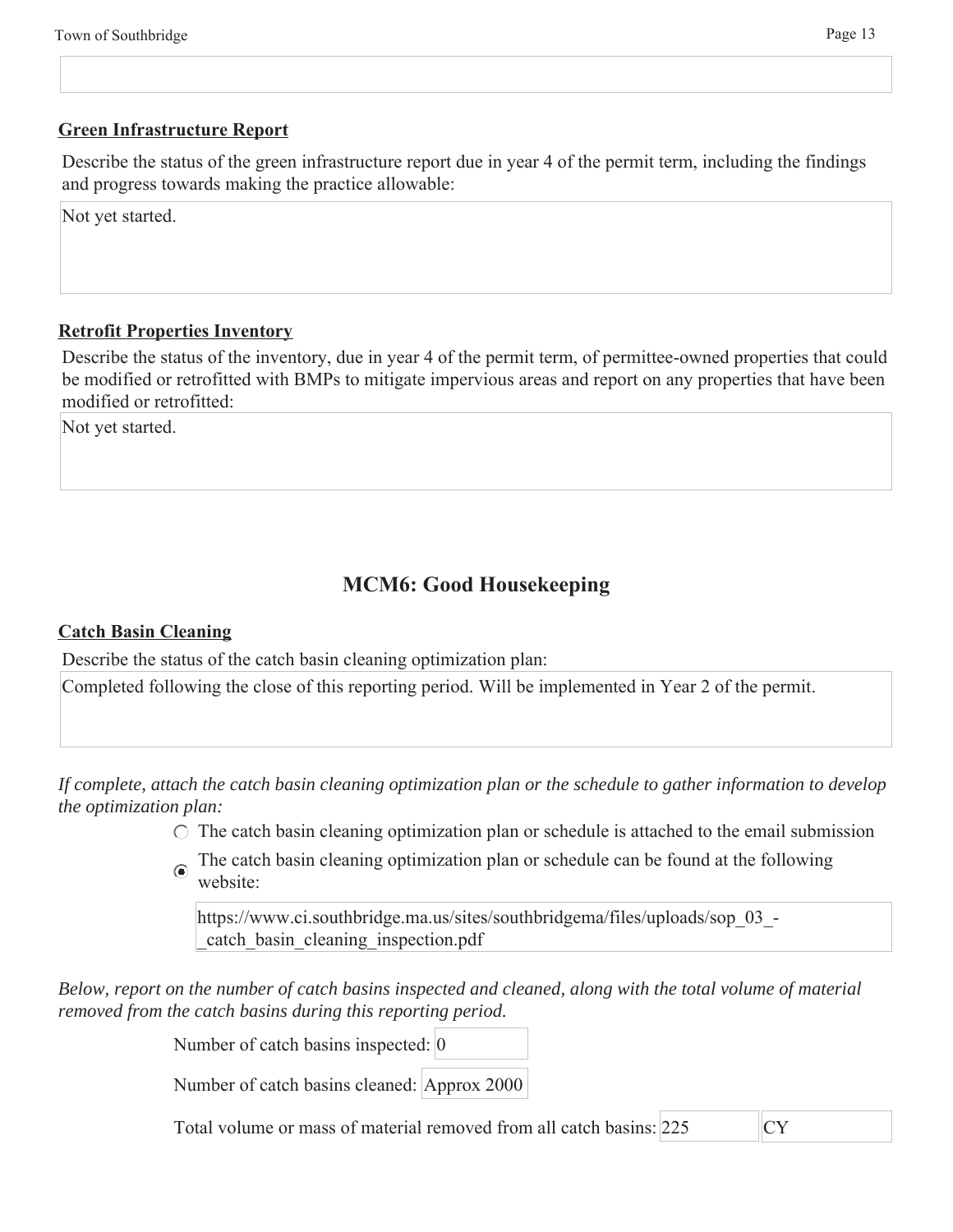#### **Green Infrastructure Report**

Describe the status of the green infrastructure report due in year 4 of the permit term, including the findings and progress towards making the practice allowable:

Not yet started.

#### **Retrofit Properties Inventory**

Describe the status of the inventory, due in year 4 of the permit term, of permittee-owned properties that could be modified or retrofitted with BMPs to mitigate impervious areas and report on any properties that have been modified or retrofitted:

Not yet started.

## **MCM6: Good Housekeeping**

#### **Catch Basin Cleaning**

Describe the status of the catch basin cleaning optimization plan:

Completed following the close of this reporting period. Will be implemented in Year 2 of the permit.

*If complete, attach the catch basin cleaning optimization plan or the schedule to gather information to develop the optimization plan:*

 $\circ$  The catch basin cleaning optimization plan or schedule is attached to the email submission

The catch basin cleaning optimization plan or schedule can be found at the following website:

https://www.ci.southbridge.ma.us/sites/southbridgema/files/uploads/sop\_03\_- \_catch\_basin\_cleaning\_inspection.pdf

*Below, report on the number of catch basins inspected and cleaned, along with the total volume of material removed from the catch basins during this reporting period.*

Number of catch basins inspected: 0

Number of catch basins cleaned: Approx 2000

Total volume or mass of material removed from all catch basins: 225 CY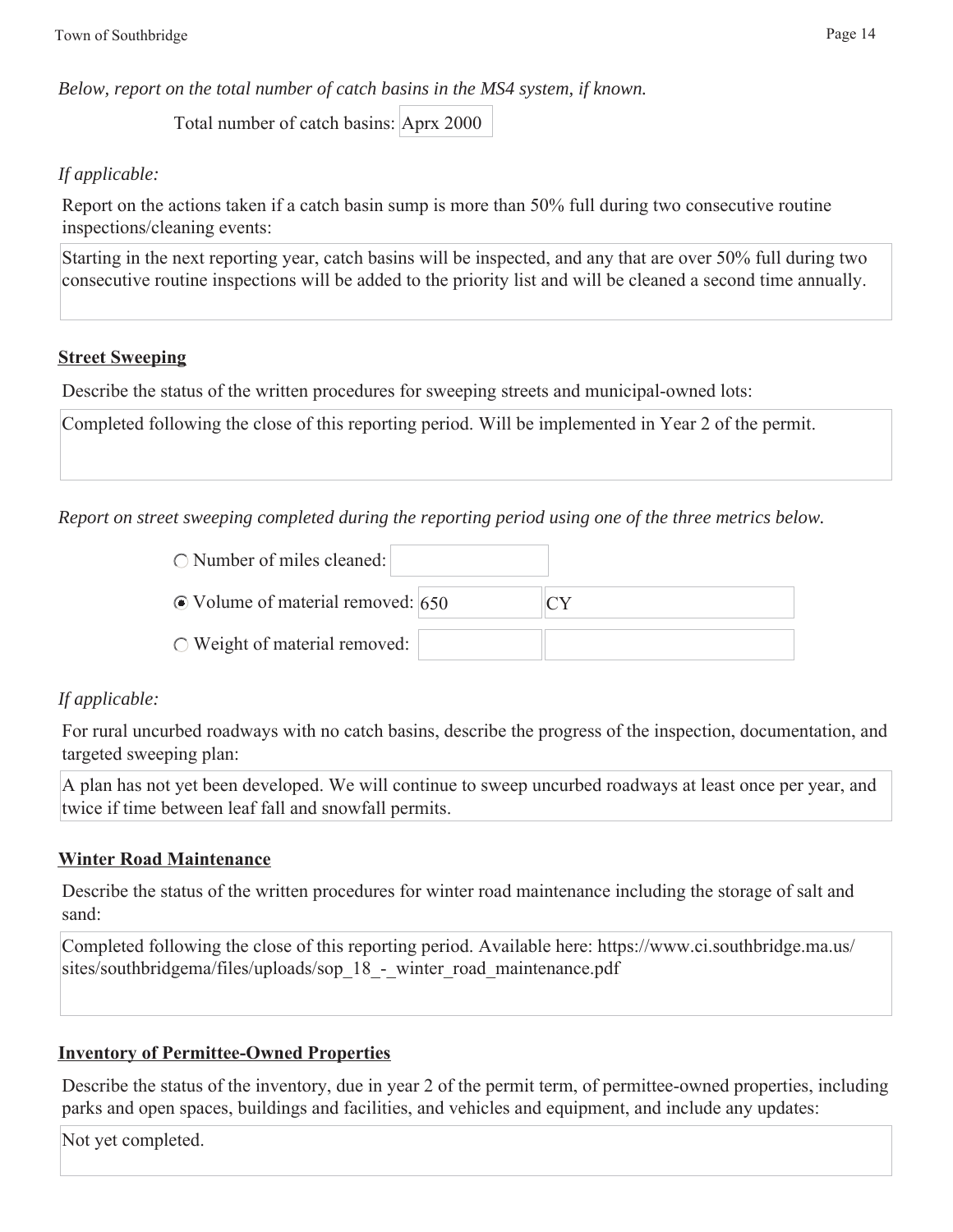*Below, report on the total number of catch basins in the MS4 system, if known.*

Total number of catch basins: Aprx 2000

### *If applicable:*

Report on the actions taken if a catch basin sump is more than 50% full during two consecutive routine inspections/cleaning events:

Starting in the next reporting year, catch basins will be inspected, and any that are over 50% full during two consecutive routine inspections will be added to the priority list and will be cleaned a second time annually.

### **Street Sweeping**

Describe the status of the written procedures for sweeping streets and municipal-owned lots:

Completed following the close of this reporting period. Will be implemented in Year 2 of the permit.

*Report on street sweeping completed during the reporting period using one of the three metrics below.*

| $\circ$ Number of miles cleaned:        |    |
|-----------------------------------------|----|
| $\odot$ Volume of material removed: 650 | CΥ |
| $\circ$ Weight of material removed:     |    |

## *If applicable:*

For rural uncurbed roadways with no catch basins, describe the progress of the inspection, documentation, and targeted sweeping plan:

A plan has not yet been developed. We will continue to sweep uncurbed roadways at least once per year, and twice if time between leaf fall and snowfall permits.

#### **Winter Road Maintenance**

Describe the status of the written procedures for winter road maintenance including the storage of salt and sand:

Completed following the close of this reporting period. Available here: https://www.ci.southbridge.ma.us/ sites/southbridgema/files/uploads/sop\_18 - winter\_road\_maintenance.pdf

## **Inventory of Permittee-Owned Properties**

Describe the status of the inventory, due in year 2 of the permit term, of permittee-owned properties, including parks and open spaces, buildings and facilities, and vehicles and equipment, and include any updates:

Not yet completed.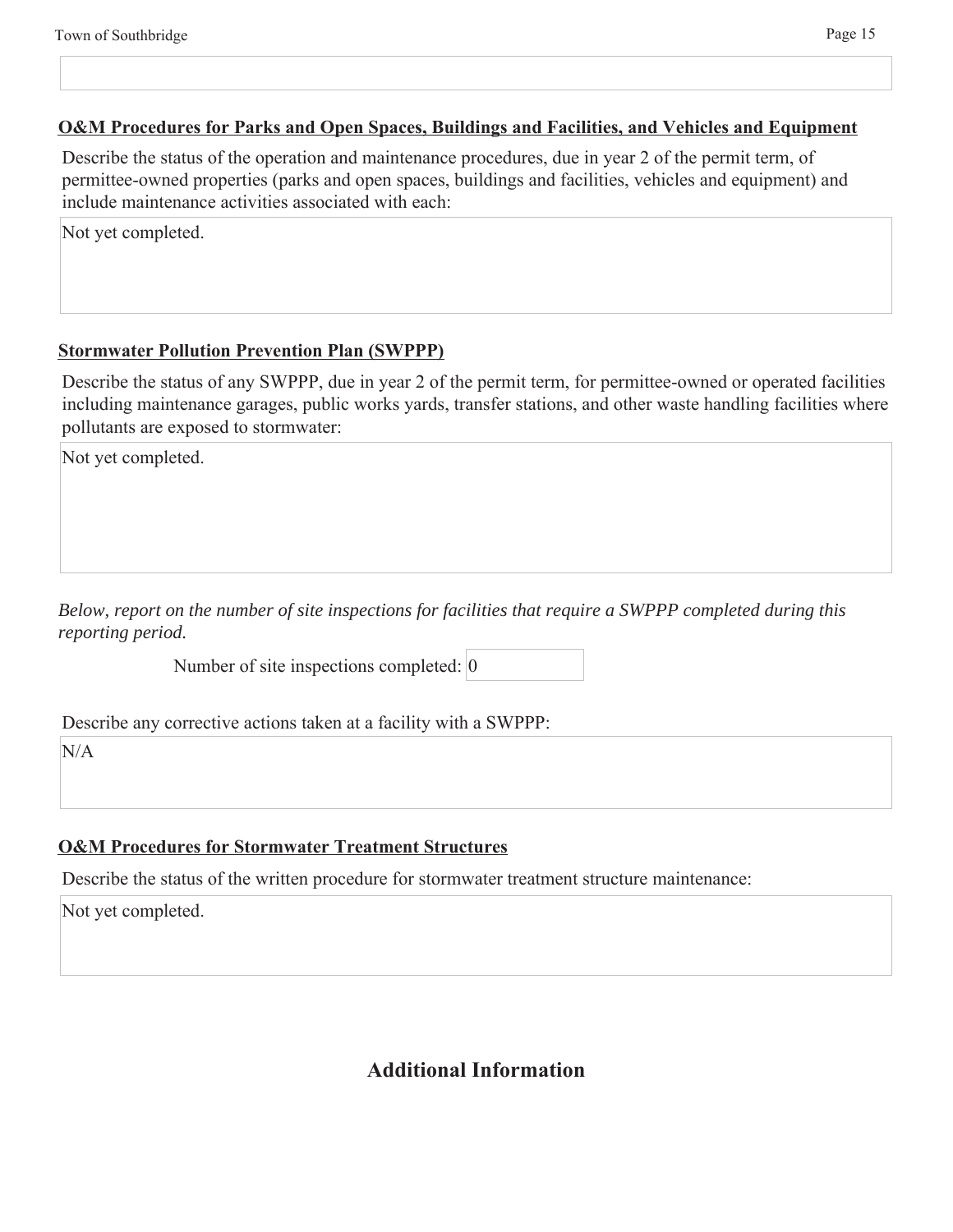#### **O&M Procedures for Parks and Open Spaces, Buildings and Facilities, and Vehicles and Equipment**

Describe the status of the operation and maintenance procedures, due in year 2 of the permit term, of permittee-owned properties (parks and open spaces, buildings and facilities, vehicles and equipment) and include maintenance activities associated with each:

Not yet completed.

#### **Stormwater Pollution Prevention Plan (SWPPP)**

Describe the status of any SWPPP, due in year 2 of the permit term, for permittee-owned or operated facilities including maintenance garages, public works yards, transfer stations, and other waste handling facilities where pollutants are exposed to stormwater:

Not yet completed.

*Below, report on the number of site inspections for facilities that require a SWPPP completed during this reporting period.*

Number of site inspections completed: 0

Describe any corrective actions taken at a facility with a SWPPP:

N/A

#### **O&M Procedures for Stormwater Treatment Structures**

Describe the status of the written procedure for stormwater treatment structure maintenance:

Not yet completed.

## **Additional Information**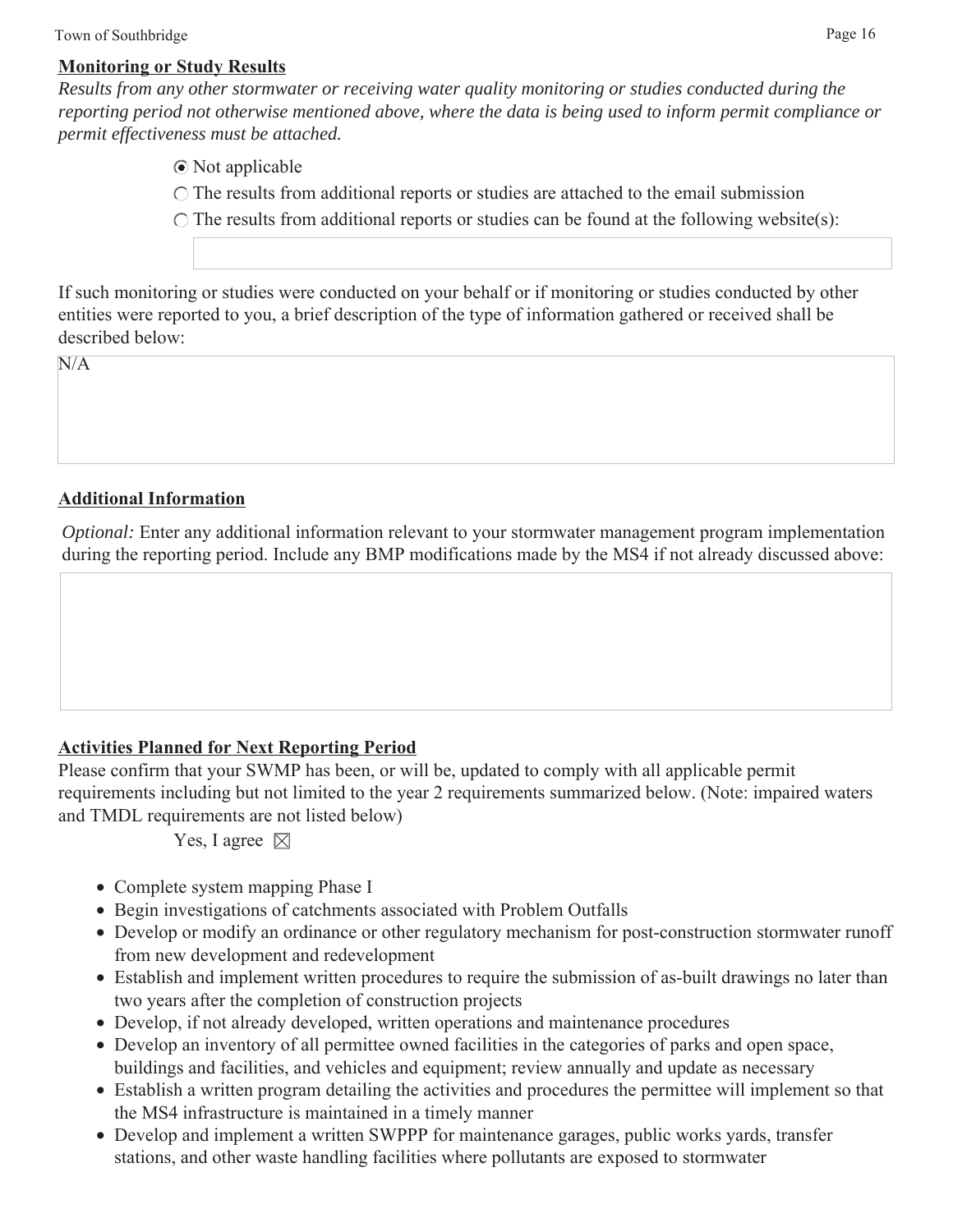#### **Monitoring or Study Results**

*Results from any other stormwater or receiving water quality monitoring or studies conducted during the reporting period not otherwise mentioned above, where the data is being used to inform permit compliance or permit effectiveness must be attached.*

Not applicable

 $\bigcirc$  The results from additional reports or studies are attached to the email submission

 $\bigcirc$  The results from additional reports or studies can be found at the following website(s):

If such monitoring or studies were conducted on your behalf or if monitoring or studies conducted by other entities were reported to you, a brief description of the type of information gathered or received shall be described below:

 $N/A$ 

## **Additional Information**

*Optional:* Enter any additional information relevant to your stormwater management program implementation during the reporting period. Include any BMP modifications made by the MS4 if not already discussed above:

## **Activities Planned for Next Reporting Period**

Please confirm that your SWMP has been, or will be, updated to comply with all applicable permit requirements including but not limited to the year 2 requirements summarized below. (Note: impaired waters and TMDL requirements are not listed below)

Yes, I agree  $\boxtimes$ 

- Complete system mapping Phase I
- Begin investigations of catchments associated with Problem Outfalls
- Develop or modify an ordinance or other regulatory mechanism for post-construction stormwater runoff from new development and redevelopment
- Establish and implement written procedures to require the submission of as-built drawings no later than two years after the completion of construction projects
- Develop, if not already developed, written operations and maintenance procedures
- Develop an inventory of all permittee owned facilities in the categories of parks and open space, buildings and facilities, and vehicles and equipment; review annually and update as necessary
- Establish a written program detailing the activities and procedures the permittee will implement so that the MS4 infrastructure is maintained in a timely manner
- Develop and implement a written SWPPP for maintenance garages, public works yards, transfer stations, and other waste handling facilities where pollutants are exposed to stormwater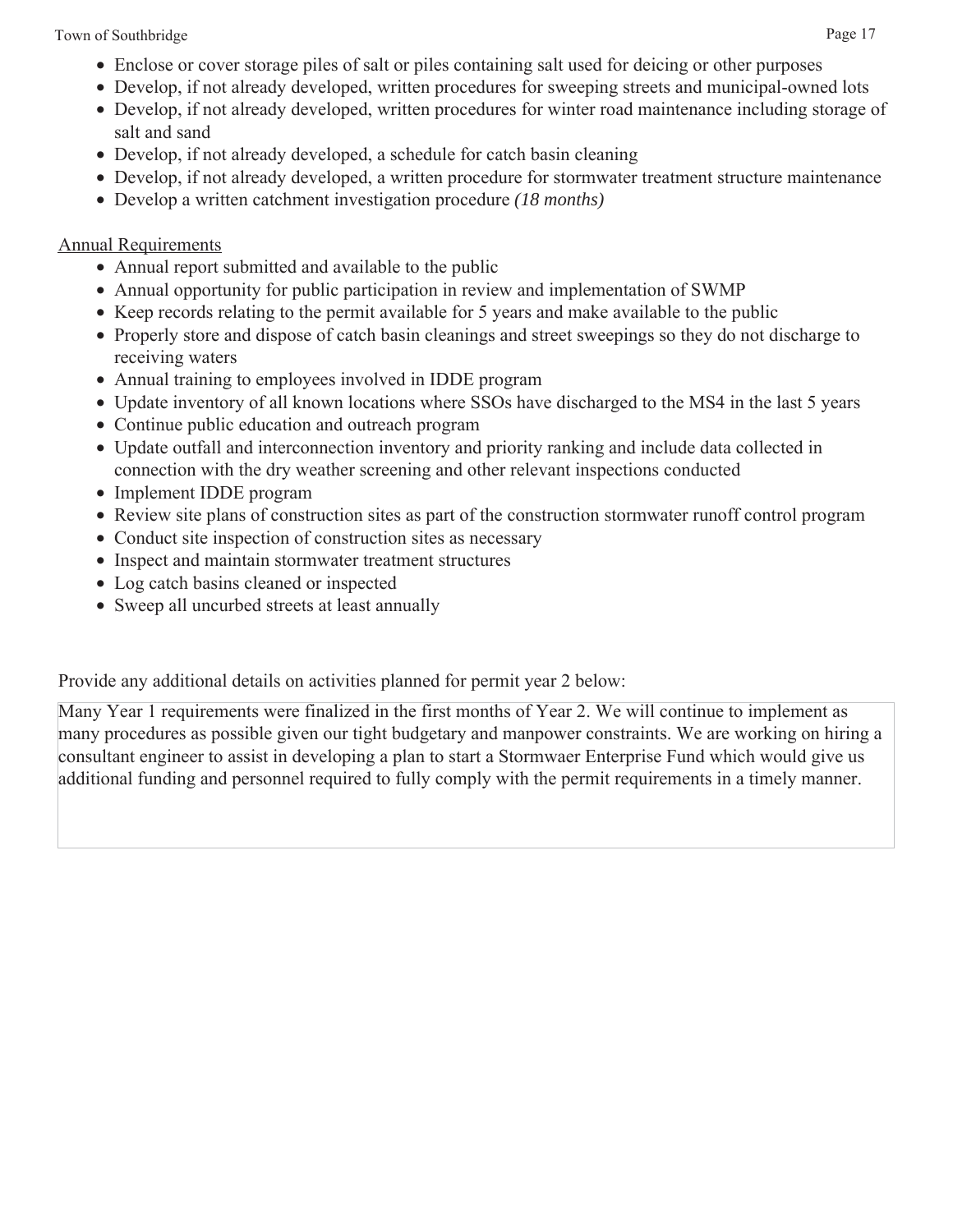Town of Southbridge Page 17

- Enclose or cover storage piles of salt or piles containing salt used for deicing or other purposes
- Develop, if not already developed, written procedures for sweeping streets and municipal-owned lots
- Develop, if not already developed, written procedures for winter road maintenance including storage of salt and sand
- Develop, if not already developed, a schedule for catch basin cleaning
- Develop, if not already developed, a written procedure for stormwater treatment structure maintenance
- Develop a written catchment investigation procedure *(18 months)*

## Annual Requirements

- Annual report submitted and available to the public
- Annual opportunity for public participation in review and implementation of SWMP
- Keep records relating to the permit available for 5 years and make available to the public
- Properly store and dispose of catch basin cleanings and street sweepings so they do not discharge to receiving waters
- Annual training to employees involved in IDDE program
- Update inventory of all known locations where SSOs have discharged to the MS4 in the last 5 years
- Continue public education and outreach program
- Update outfall and interconnection inventory and priority ranking and include data collected in connection with the dry weather screening and other relevant inspections conducted
- Implement IDDE program
- Review site plans of construction sites as part of the construction stormwater runoff control program
- Conduct site inspection of construction sites as necessary
- Inspect and maintain stormwater treatment structures
- Log catch basins cleaned or inspected
- Sweep all uncurbed streets at least annually

Provide any additional details on activities planned for permit year 2 below:

Many Year 1 requirements were finalized in the first months of Year 2. We will continue to implement as many procedures as possible given our tight budgetary and manpower constraints. We are working on hiring a consultant engineer to assist in developing a plan to start a Stormwaer Enterprise Fund which would give us additional funding and personnel required to fully comply with the permit requirements in a timely manner.